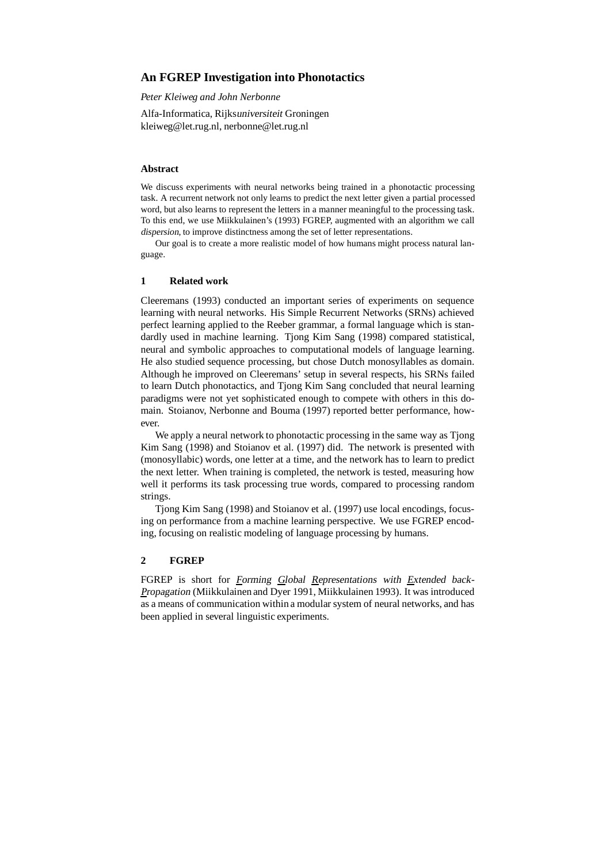# **An FGREP Investigation into Phonotactics**

*Peter Kleiweg and John Nerbonne*

Alfa-Informatica, Rijksuniversiteit Groningen kleiweg@let.rug.nl, nerbonne@let.rug.nl

## **Abstract**

We discuss experiments with neural networks being trained in a phonotactic processing task. A recurrent network not only learns to predict the next letter given a partial processed word, but also learns to represent the letters in a manner meaningful to the processing task. To this end, we use Miikkulainen's (1993) FGREP, augmented with an algorithm we call dispersion, to improve distinctness among the set of letter representations.

Our goal is to create a more realistic model of how humans might process natural language.

### **1 Related work**

Cleeremans (1993) conducted an important series of experiments on sequence learning with neural networks. His Simple Recurrent Networks (SRNs) achieved perfect learning applied to the Reeber grammar, a formal language which is standardly used in machine learning. Tjong Kim Sang (1998) compared statistical, neural and symbolic approaches to computational models of language learning. He also studied sequence processing, but chose Dutch monosyllables as domain. Although he improved on Cleeremans' setup in several respects, his SRNs failed to learn Dutch phonotactics, and Tjong Kim Sang concluded that neural learning paradigms were not yet sophisticated enough to compete with others in this domain. Stoianov, Nerbonne and Bouma (1997) reported better performance, however.

We apply a neural network to phonotactic processing in the same way as Tjong Kim Sang (1998) and Stoianov et al. (1997) did. The network is presented with (monosyllabic) words, one letter at a time, and the network has to learn to predict the next letter. When training is completed, the network is tested, measuring how well it performs its task processing true words, compared to processing random strings.

Tjong Kim Sang (1998) and Stoianov et al. (1997) use local encodings, focusing on performance from a machine learning perspective. We use FGREP encoding, focusing on realistic modeling of language processing by humans.

### **2 FGREP**

FGREP is short for Forming Global Representations with Extended back-Propagation (Miikkulainen and Dyer 1991, Miikkulainen 1993). It was introduced as a means of communication within a modular system of neural networks, and has been applied in several linguistic experiments.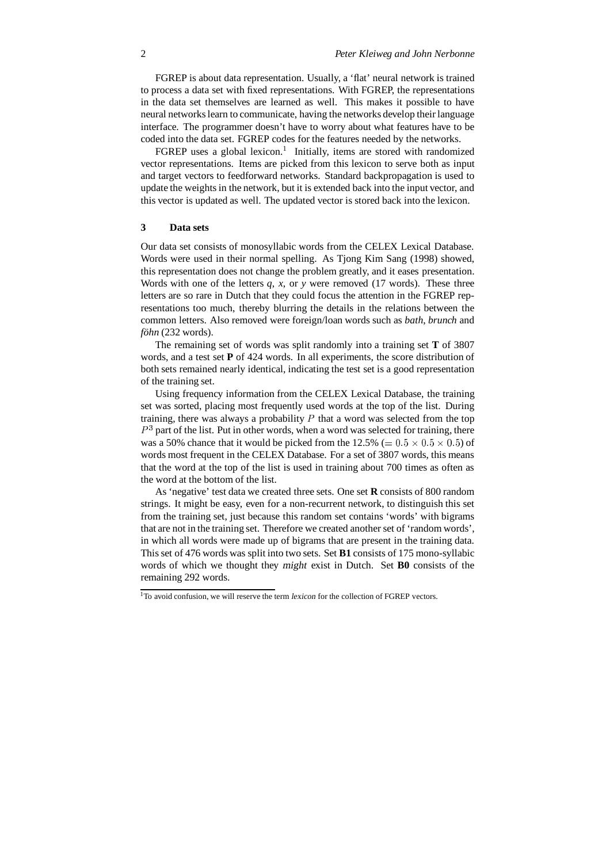FGREP is about data representation. Usually, a 'flat' neural network is trained to process a data set with fixed representations. With FGREP, the representations in the data set themselves are learned as well. This makes it possible to have neural networkslearn to communicate, having the networks develop their language interface. The programmer doesn't have to worry about what features have to be coded into the data set. FGREP codes for the features needed by the networks.

FGREP uses a global lexicon.<sup>1</sup> Initially, items are stored with randomized vector representations. Items are picked from this lexicon to serve both as input and target vectors to feedforward networks. Standard backpropagation is used to update the weights in the network, but it is extended back into the input vector, and this vector is updated as well. The updated vector is stored back into the lexicon.

### **3 Data sets**

Our data set consists of monosyllabic words from the CELEX Lexical Database. Words were used in their normal spelling. As Tjong Kim Sang (1998) showed, this representation does not change the problem greatly, and it eases presentation. Words with one of the letters *q*, *x*, or *y* were removed (17 words). These three letters are so rare in Dutch that they could focus the attention in the FGREP representations too much, thereby blurring the details in the relations between the common letters. Also removed were foreign/loan words such as *bath*, *brunch* and *föhn* (232 words).

The remaining set of words was split randomly into a training set **T** of 3807 words, and a test set **P** of 424 words. In all experiments, the score distribution of both sets remained nearly identical, indicating the test set is a good representation of the training set.

Using frequency information from the CELEX Lexical Database, the training set was sorted, placing most frequently used words at the top of the list. During training, there was always a probability  $P$  that a word was selected from the top  $P<sup>3</sup>$  part of the list. Put in other words, when a word was selected for training, there was a 50% chance that it would be picked from the  $12.5\%$  (=  $0.5 \times 0.5 \times 0.5$ ) of words most frequent in the CELEX Database. For a set of 3807 words, this means that the word at the top of the list is used in training about 700 times as often as the word at the bottom of the list.

As 'negative' test data we created three sets. One set **R** consists of 800 random strings. It might be easy, even for a non-recurrent network, to distinguish this set from the training set, just because this random set contains 'words' with bigrams that are not in the training set. Therefore we created another set of 'random words', in which all words were made up of bigrams that are present in the training data. This set of 476 words was split into two sets. Set **B1** consists of 175 mono-syllabic words of which we thought they might exist in Dutch. Set **B0** consists of the remaining 292 words.

<sup>&</sup>lt;sup>1</sup>To avoid confusion, we will reserve the term *lexicon* for the collection of FGREP vectors.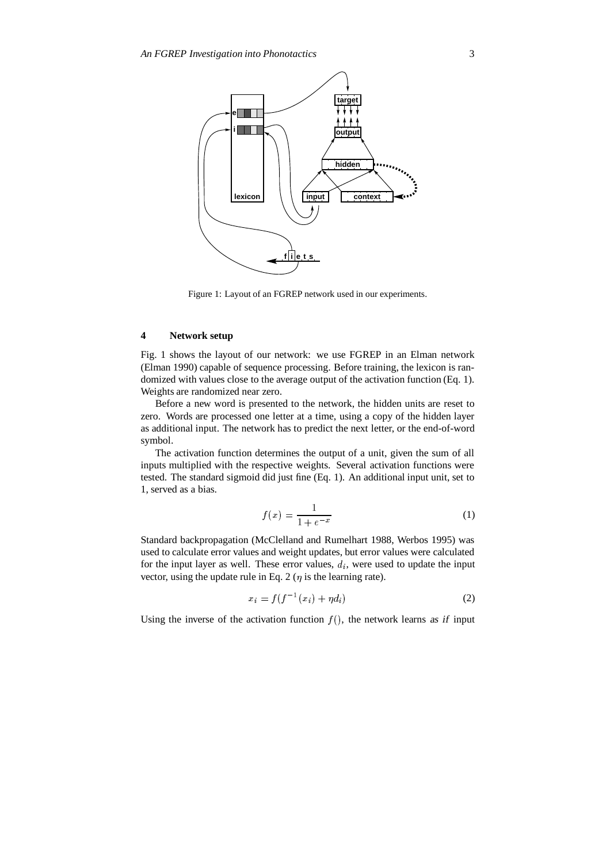

Figure 1: Layout of an FGREP network used in our experiments.

# **4 Network setup**

Fig. 1 shows the layout of our network: we use FGREP in an Elman network (Elman 1990) capable of sequence processing. Before training, the lexicon is randomized with values close to the average output of the activation function (Eq. 1). Weights are randomized near zero.

Before a new word is presented to the network, the hidden units are reset to zero. Words are processed one letter at a time, using a copy of the hidden layer as additional input. The network has to predict the next letter, or the end-of-word symbol.

The activation function determines the output of a unit, given the sum of all inputs multiplied with the respective weights. Several activation functions were tested. The standard sigmoid did just fine (Eq. 1). An additional input unit, set to 1, served as a bias.

$$
f(x) = \frac{1}{1 + e^{-x}}
$$
 (1)

Standard backpropagation (McClelland and Rumelhart 1988, Werbos 1995) was used to calculate error values and weight updates, but error values were calculated for the input layer as well. These error values,  $d_i$ , were used to update the input vector, using the update rule in Eq. 2 ( $\eta$  is the learning rate).

$$
x_i = f(f^{-1}(x_i) + \eta d_i)
$$
 (2)

Using the inverse of the activation function  $f()$ , the network learns as if input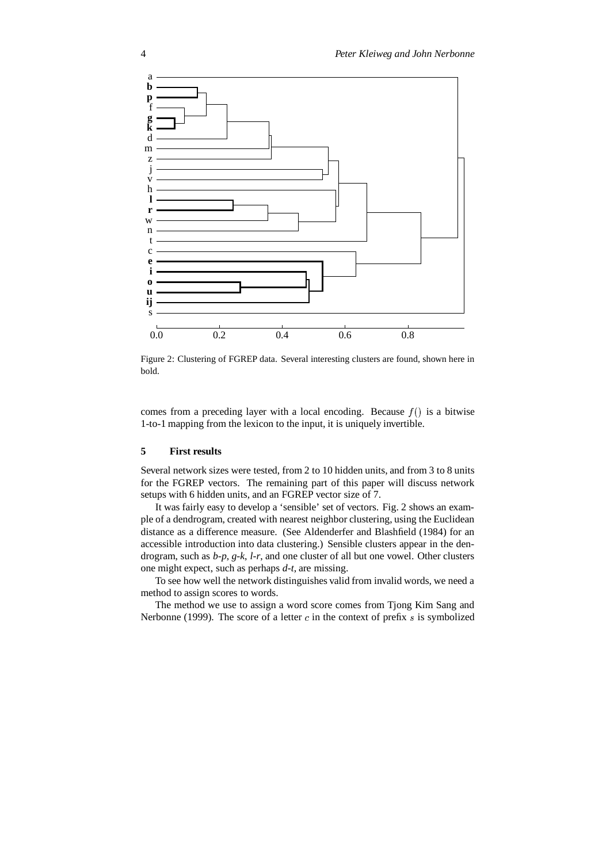

Figure 2: Clustering of FGREP data. Several interesting clusters are found, shown here in bold.

comes from a preceding layer with a local encoding. Because  $f()$  is a bitwise 1-to-1 mapping from the lexicon to the input, it is uniquely invertible.

#### **5 First results**

Several network sizes were tested, from 2 to 10 hidden units, and from 3 to 8 units for the FGREP vectors. The remaining part of this paper will discuss network setups with 6 hidden units, and an FGREP vector size of 7.

It was fairly easy to develop a 'sensible' set of vectors. Fig. 2 shows an example of a dendrogram, created with nearest neighbor clustering, using the Euclidean distance as a difference measure. (See Aldenderfer and Blashfield (1984) for an accessible introduction into data clustering.) Sensible clusters appear in the dendrogram, such as *b-p*, *g-k*, *l-r*, and one cluster of all but one vowel. Other clusters one might expect, such as perhaps *d-t*, are missing.

To see how well the network distinguishes valid from invalid words, we need a method to assign scores to words.

The method we use to assign a word score comes from Tjong Kim Sang and Nerbonne (1999). The score of a letter  $c$  in the context of prefix  $s$  is symbolized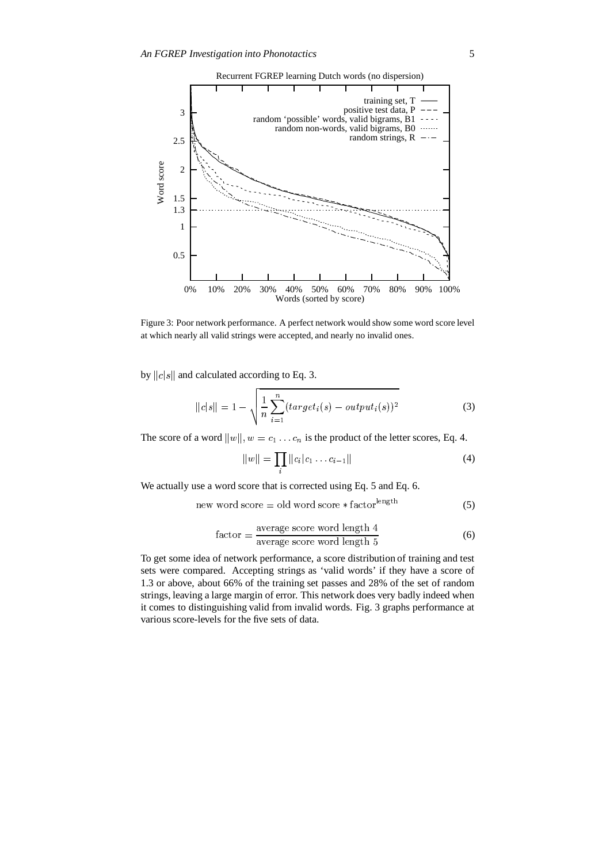

Figure 3: Poor network performance. A perfect network would show some word score level at which nearly all valid strings were accepted, and nearly no invalid ones.

by  $||c||s||$  and calculated according to Eq. 3.

$$
||c|s|| = 1 - \sqrt{\frac{1}{n} \sum_{i=1}^{n} (target_i(s) - output_i(s))^2}
$$
 (3)

The score of a word  $||w||$ ,  $w = c_1 \dots c_n$  is the product of the letter scores, Eq. 4.

$$
||w|| = \prod_{i} ||c_i|c_1 \dots c_{i-1}|| \tag{4}
$$

We actually use a word score that is corrected using Eq. 5 and Eq. 6.

$$
new word score = old word score * factorlength
$$
 (5)

$$
factor = \frac{\text{average score word length 4}}{\text{average score word length 5}}\tag{6}
$$

To get some idea of network performance, a score distribution of training and test sets were compared. Accepting strings as 'valid words' if they have a score of 1.3 or above, about 66% of the training set passes and 28% of the set of random strings, leaving a large margin of error. This network does very badly indeed when it comes to distinguishing valid from invalid words. Fig. 3 graphs performance at various score-levels for the five sets of data.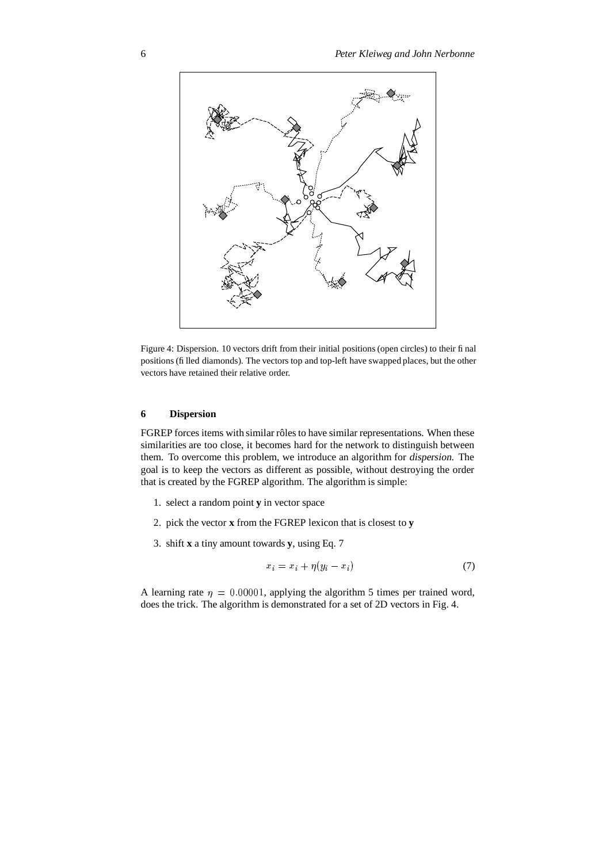

Figure 4: Dispersion. 10 vectors drift from their initial positions(open circles) to their final positions(filled diamonds). The vectors top and top-left have swapped places, but the other vectors have retained their relative order.

## **6 Dispersion**

FGREP forces items with similar rôles to have similar representations. When these similarities are too close, it becomes hard for the network to distinguish between them. To overcome this problem, we introduce an algorithm for dispersion. The goal is to keep the vectors as different as possible, without destroying the order that is created by the FGREP algorithm. The algorithm is simple:

- 1. select a random point **y** in vector space
- 2. pick the vector **x** from the FGREP lexicon that is closest to **y**
- 3. shift **x** a tiny amount towards **y**, using Eq. 7

$$
x_i = x_i + \eta(y_i - x_i) \tag{7}
$$

A learning rate  $\eta = 0.00001$ , applying the algorithm 5 times per trained word, does the trick. The algorithm is demonstrated for a set of 2D vectors in Fig. 4.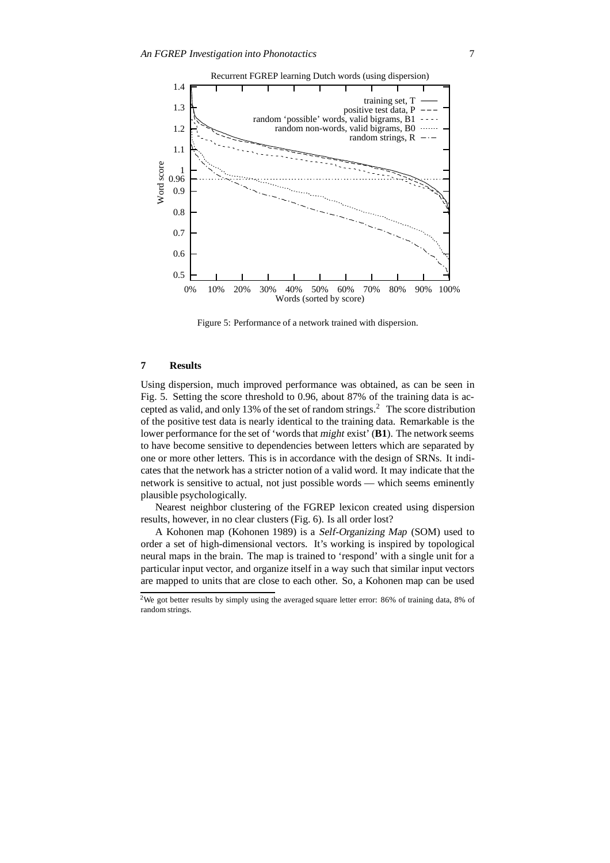

Figure 5: Performance of a network trained with dispersion.

## **7 Results**

Using dispersion, much improved performance was obtained, as can be seen in Fig. 5. Setting the score threshold to 0.96, about 87% of the training data is accepted as valid, and only 13% of the set of random strings.<sup>2</sup> The score distribution of the positive test data is nearly identical to the training data. Remarkable is the lower performance for the set of 'words that might exist' (**B1**). The network seems to have become sensitive to dependencies between letters which are separated by one or more other letters. This is in accordance with the design of SRNs. It indicates that the network has a stricter notion of a valid word. It may indicate that the network is sensitive to actual, not just possible words — which seems eminently plausible psychologically.

Nearest neighbor clustering of the FGREP lexicon created using dispersion results, however, in no clear clusters (Fig. 6). Is all order lost?

A Kohonen map (Kohonen 1989) is a Self-Organizing Map (SOM) used to order a set of high-dimensional vectors. It's working is inspired by topological neural maps in the brain. The map is trained to 'respond' with a single unit for a particular input vector, and organize itself in a way such that similar input vectors are mapped to units that are close to each other. So, a Kohonen map can be used

<sup>2</sup>We got better results by simply using the averaged square letter error: 86% of training data, 8% of random strings.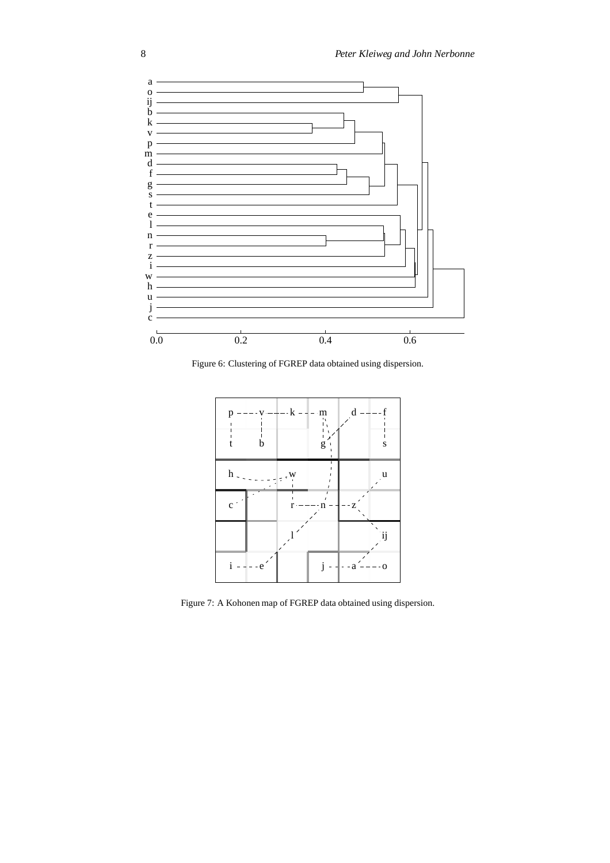

Figure 6: Clustering of FGREP data obtained using dispersion.



Figure 7: A Kohonen map of FGREP data obtained using dispersion.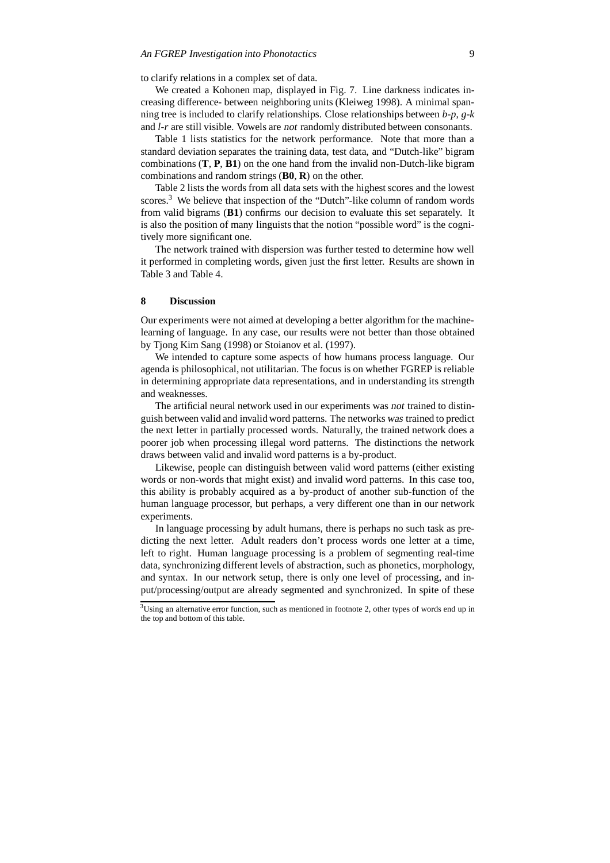to clarify relations in a complex set of data.

We created a Kohonen map, displayed in Fig. 7. Line darkness indicates increasing difference- between neighboring units (Kleiweg 1998). A minimal spanning tree is included to clarify relationships. Close relationships between *b-p*, *g-k* and *l-r* are still visible. Vowels are not randomly distributed between consonants.

Table 1 lists statistics for the network performance. Note that more than a standard deviation separates the training data, test data, and "Dutch-like" bigram combinations (**T**, **P**, **B1**) on the one hand from the invalid non-Dutch-like bigram combinations and random strings (**B0**, **R**) on the other.

Table 2 lists the words from all data sets with the highest scores and the lowest scores.<sup>3</sup> We believe that inspection of the "Dutch"-like column of random words from valid bigrams (**B1**) confirms our decision to evaluate this set separately. It is also the position of many linguists that the notion "possible word" is the cognitively more significant one.

The network trained with dispersion was further tested to determine how well it performed in completing words, given just the first letter. Results are shown in Table 3 and Table 4.

## **8 Discussion**

Our experiments were not aimed at developing a better algorithm for the machinelearning of language. In any case, our results were not better than those obtained by Tjong Kim Sang (1998) or Stoianov et al. (1997).

We intended to capture some aspects of how humans process language. Our agenda is philosophical, not utilitarian. The focus is on whether FGREP is reliable in determining appropriate data representations, and in understanding its strength and weaknesses.

The artificial neural network used in our experiments was not trained to distinguish between valid and invalid word patterns. The networks was trained to predict the next letter in partially processed words. Naturally, the trained network does a poorer job when processing illegal word patterns. The distinctions the network draws between valid and invalid word patterns is a by-product.

Likewise, people can distinguish between valid word patterns (either existing words or non-words that might exist) and invalid word patterns. In this case too, this ability is probably acquired as a by-product of another sub-function of the human language processor, but perhaps, a very different one than in our network experiments.

In language processing by adult humans, there is perhaps no such task as predicting the next letter. Adult readers don't process words one letter at a time, left to right. Human language processing is a problem of segmenting real-time data, synchronizing different levels of abstraction, such as phonetics, morphology, and syntax. In our network setup, there is only one level of processing, and input/processing/output are already segmented and synchronized. In spite of these

<sup>&</sup>lt;sup>3</sup>Using an alternative error function, such as mentioned in footnote 2, other types of words end up in the top and bottom of this table.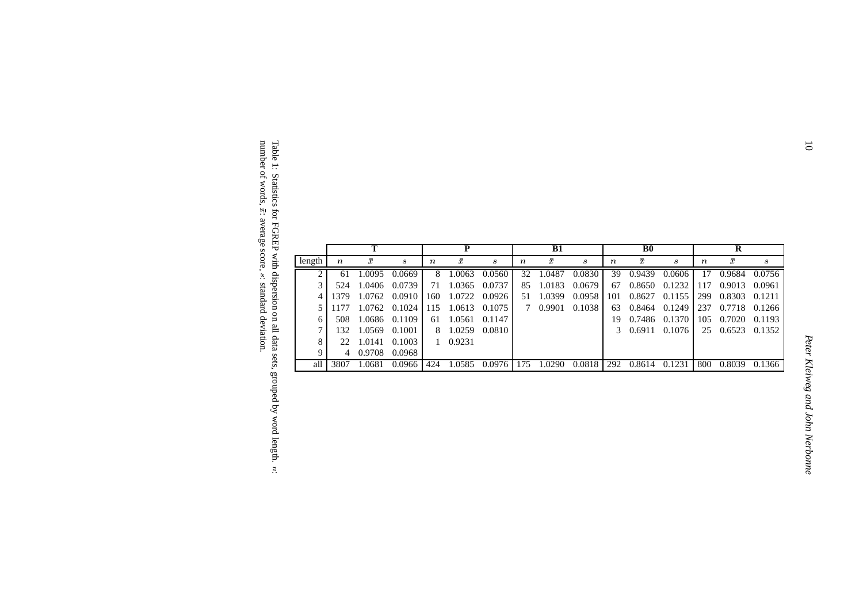|        |                  |           |                  | P   |           |                  | B1               |           |        | <b>B</b> <sub>0</sub> |           |        | R                |           |        |
|--------|------------------|-----------|------------------|-----|-----------|------------------|------------------|-----------|--------|-----------------------|-----------|--------|------------------|-----------|--------|
| length | $\boldsymbol{n}$ | $\bar{x}$ | $\boldsymbol{s}$ | n   | $\bar{x}$ | $\boldsymbol{s}$ | $\boldsymbol{n}$ | $\bar{x}$ | S      | $\boldsymbol{n}$      | $\bar{x}$ | S      | $\boldsymbol{n}$ | $\bar{x}$ | s      |
|        | 61               | 1.0095    | 0.0669           | 8   | 1.0063    | 0.0560           | 32.              | 1.0487    | 0.0830 | 39                    | 0.9439    | 0.0606 | 17               | 0.9684    | 0.0756 |
| 3      | 524              | 1.0406    | 0.0739           | 71  | 1.0365    | 0.0737           | 85               | 1.0183    | 0.0679 | 67                    | 0.8650    | 0.1232 | 117              | 0.9013    | 0.0961 |
|        | 1379.            | 1.0762    | 0.0910           | 160 | 1.0722    | 0.0926           | 51               | 1.0399    | 0.0958 | 101                   | 0.8627    | 0.1155 | 299              | 0.8303    | 0.1211 |
|        |                  | 1.0762    | 0.1024           | 115 | 1.0613    | 0.1075           | 7                | 0.9901    | 0.1038 | 63                    | 0.8464    | 0.1249 | 237              | 0.7718    | 0.1266 |
|        | 508              | 1.0686    | 0.1109           | 61  | 1.0561    | 0.1147           |                  |           |        | 19                    | 0.7486    | 0.1370 | 105              | 0.7020    | 0.1193 |
|        | 132              | 1.0569    | 0.1001           | 8   | 1.0259    | 0.0810           |                  |           |        |                       | 0.6911    | 0.1076 | 25               | 0.6523    | 0.1352 |
| 8.     | 22.              | 1.0141    | 0.1003           |     | 1 0.9231  |                  |                  |           |        |                       |           |        |                  |           |        |
| 9      |                  | 0.9708    | 0.0968           |     |           |                  |                  |           |        |                       |           |        |                  |           |        |
| all    | 3807             | 1.0681    | 0.0966           | 424 | 1.0585    | 0.0976           | 175              | 1.0290    | 0.0818 | 292                   | 0.8614    | 0.1231 | 800              | 0.8039    | 0.1366 |

Table 1: Statistics for FGREP with dispersion on  $\Xi$ data sets, grouped by word  $length.$   $n$ : number of words, : average score, s: standard deviation.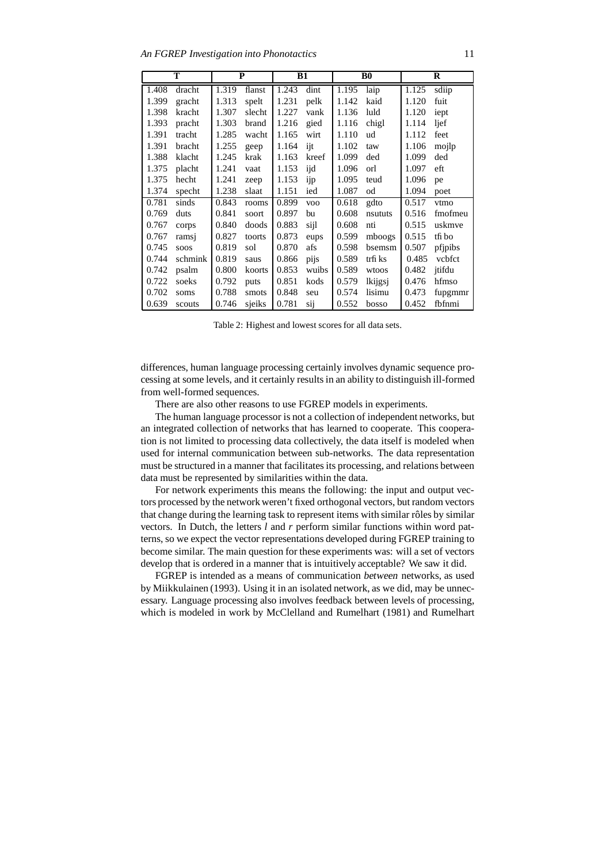| т     |         | P     |        | <b>B1</b> |            | B <sub>0</sub> |         | R     |         |
|-------|---------|-------|--------|-----------|------------|----------------|---------|-------|---------|
| 1.408 | dracht  | 1.319 | flanst | 1.243     | dint       | 1.195          | laip    | 1.125 | sdiip   |
| 1.399 | gracht  | 1.313 | spelt  | 1.231     | pelk       | 1.142          | kaid    | 1.120 | fuit    |
| 1.398 | kracht  | 1.307 | slecht | 1.227     | vank       | 1.136          | luld    | 1.120 | iept    |
| 1.393 | pracht  | 1.303 | brand  | 1.216     | gied       | 1.116          | chigl   | 1.114 | ljef    |
| 1.391 | tracht  | 1.285 | wacht  | 1.165     | wirt       | 1.110          | ud      | 1.112 | feet    |
| 1.391 | bracht  | 1.255 | geep   | 1.164     | ijt        | 1.102          | taw     | 1.106 | mojlp   |
| 1.388 | klacht  | 1.245 | krak   | 1.163     | kreef      | 1.099          | ded     | 1.099 | ded     |
| 1.375 | placht  | 1.241 | vaat   | 1.153     | ijd        | 1.096          | orl     | 1.097 | eft     |
| 1.375 | hecht   | 1.241 | zeep   | 1.153     | ijp        | 1.095          | teud    | 1.096 | pe      |
| 1.374 | specht  | 1.238 | slaat  | 1.151     | ied        | 1.087          | od      | 1.094 | poet    |
| 0.781 | sinds   | 0.843 | rooms  | 0.899     | <b>VOO</b> | 0.618          | gdto    | 0.517 | vtmo    |
| 0.769 | duts    | 0.841 | soort  | 0.897     | bu         | 0.608          | nsututs | 0.516 | fmofmeu |
| 0.767 | corps   | 0.840 | doods  | 0.883     | sijl       | 0.608          | nti     | 0.515 | uskmve  |
| 0.767 | ramsj   | 0.827 | toorts | 0.873     | eups       | 0.599          | mboogs  | 0.515 | tfi bo  |
| 0.745 | soos    | 0.819 | sol    | 0.870     | afs        | 0.598          | bsemsm  | 0.507 | pfjpibs |
| 0.744 | schmink | 0.819 | saus   | 0.866     | pijs       | 0.589          | trfi ks | 0.485 | vcbfct  |
| 0.742 | psalm   | 0.800 | koorts | 0.853     | wuibs      | 0.589          | wtoos   | 0.482 | jtifdu  |
| 0.722 | soeks   | 0.792 | puts   | 0.851     | kods       | 0.579          | lkijgsj | 0.476 | hfmso   |
| 0.702 | soms    | 0.788 | smots  | 0.848     | seu        | 0.574          | lisimu  | 0.473 | fupgmmr |
| 0.639 | scouts  | 0.746 | sjeiks | 0.781     | sij        | 0.552          | bosso   | 0.452 | fbfnmi  |

Table 2: Highest and lowest scores for all data sets.

differences, human language processing certainly involves dynamic sequence processing at some levels, and it certainly results in an ability to distinguish ill-formed from well-formed sequences.

There are also other reasons to use FGREP models in experiments.

The human language processor is not a collection of independent networks, but an integrated collection of networks that has learned to cooperate. This cooperation is not limited to processing data collectively, the data itself is modeled when used for internal communication between sub-networks. The data representation must be structured in a manner that facilitates its processing, and relations between data must be represented by similarities within the data.

For network experiments this means the following: the input and output vectors processed by the network weren't fixed orthogonal vectors, but random vectors that change during the learning task to represent items with similar rôles by similar vectors. In Dutch, the letters *l* and *r* perform similar functions within word patterns, so we expect the vector representations developed during FGREP training to become similar. The main question for these experiments was: will a set of vectors develop that is ordered in a manner that is intuitively acceptable? We saw it did.

FGREP is intended as a means of communication between networks, as used by Miikkulainen (1993). Using it in an isolated network, as we did, may be unnecessary. Language processing also involves feedback between levels of processing, which is modeled in work by McClelland and Rumelhart (1981) and Rumelhart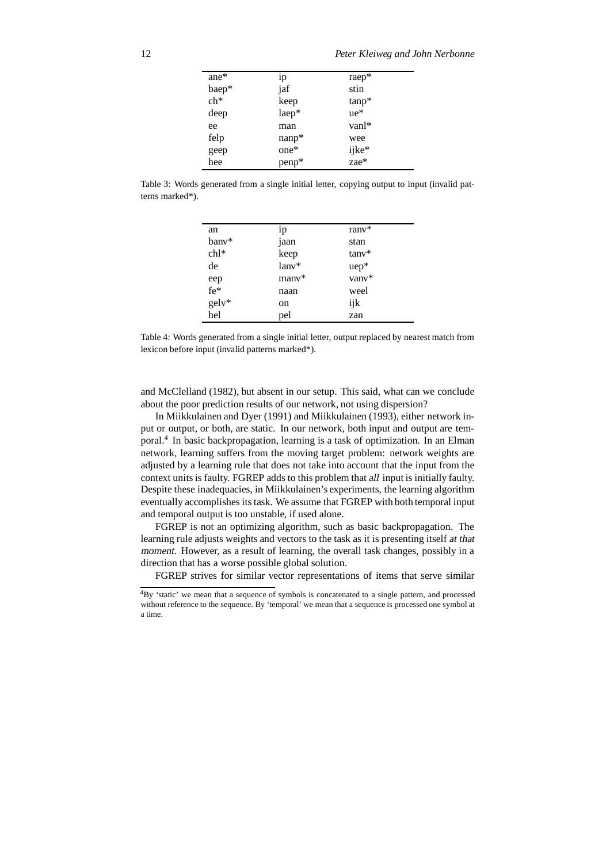| ane*  | 1p      | raep*         |
|-------|---------|---------------|
| baep* | jaf     | stin          |
| $ch*$ | keep    | $tanp*$       |
| deep  | laep*   | $ue*$         |
| ee    | man     | $vanl*$       |
| felp  | $namp*$ | wee           |
| geep  | $one*$  | ijke*<br>zae* |
| hee   | penp*   |               |
|       |         |               |

Table 3: Words generated from a single initial letter, copying output to input (invalid patterns marked\*).

| an         | 1p      | $\text{ranv}^*$     |
|------------|---------|---------------------|
| bany*      | jaan    | stan                |
| $ch1*$     | keep    | $tanv$ <sup>*</sup> |
| de         | $lanv*$ | $uep*$              |
| eep<br>fe* | many*   | vanv*               |
|            | naan    | weel                |
| gelv*      | on      | ijk                 |
| hel        | pel     | zan                 |

Table 4: Words generated from a single initial letter, output replaced by nearest match from lexicon before input (invalid patterns marked\*).

and McClelland (1982), but absent in our setup. This said, what can we conclude about the poor prediction results of our network, not using dispersion?

In Miikkulainen and Dyer (1991) and Miikkulainen (1993), either network input or output, or both, are static. In our network, both input and output are temporal.<sup>4</sup> In basic backpropagation, learning is a task of optimization. In an Elman network, learning suffers from the moving target problem: network weights are adjusted by a learning rule that does not take into account that the input from the context units is faulty. FGREP adds to this problem that all input is initially faulty. Despite these inadequacies, in Miikkulainen's experiments, the learning algorithm eventually accomplishes its task. We assume that FGREP with both temporal input and temporal output is too unstable, if used alone.

FGREP is not an optimizing algorithm, such as basic backpropagation. The learning rule adjusts weights and vectors to the task as it is presenting itself at that moment. However, as a result of learning, the overall task changes, possibly in a direction that has a worse possible global solution.

FGREP strives for similar vector representations of items that serve similar

<sup>4</sup>By 'static' we mean that a sequence of symbols is concatenated to a single pattern, and processed without reference to the sequence. By 'temporal' we mean that a sequence is processed one symbol at a time.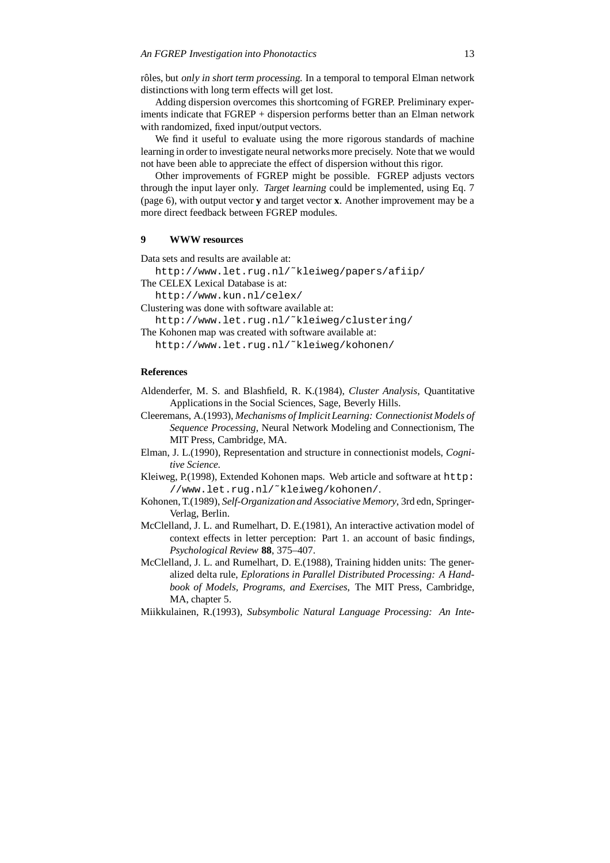rôles, but only in short term processing. In a temporal to temporal Elman network distinctions with long term effects will get lost.

Adding dispersion overcomes this shortcoming of FGREP. Preliminary experiments indicate that FGREP + dispersion performs better than an Elman network with randomized, fixed input/output vectors.

We find it useful to evaluate using the more rigorous standards of machine learning in order to investigate neural networks more precisely. Note that we would not have been able to appreciate the effect of dispersion without this rigor.

Other improvements of FGREP might be possible. FGREP adjusts vectors through the input layer only. Target learning could be implemented, using Eq. 7 (page 6), with output vector **y** and target vector **x**. Another improvement may be a more direct feedback between FGREP modules.

### **9 WWW resources**

Data sets and results are available at:

http://www.let.rug.nl/˜kleiweg/papers/afiip/

```
The CELEX Lexical Database is at:
```
http://www.kun.nl/celex/

Clustering was done with software available at:

http://www.let.rug.nl/˜kleiweg/clustering/

The Kohonen map was created with software available at:

http://www.let.rug.nl/˜kleiweg/kohonen/

### **References**

- Aldenderfer, M. S. and Blashfield, R. K.(1984), *Cluster Analysis*, Quantitative Applications in the Social Sciences, Sage, Beverly Hills.
- Cleeremans, A.(1993), *Mechanisms of Implicit Learning: Connectionist Models of Sequence Processing*, Neural Network Modeling and Connectionism, The MIT Press, Cambridge, MA.
- Elman, J. L.(1990), Representation and structure in connectionist models, *Cognitive Science*.
- Kleiweg, P.(1998), Extended Kohonen maps. Web article and software at http: //www.let.rug.nl/˜kleiweg/kohonen/.
- Kohonen, T.(1989), *Self-Organizationand Associative Memory*, 3rd edn, Springer-Verlag, Berlin.
- McClelland, J. L. and Rumelhart, D. E.(1981), An interactive activation model of context effects in letter perception: Part 1. an account of basic findings, *Psychological Review* **88**, 375–407.
- McClelland, J. L. and Rumelhart, D. E.(1988), Training hidden units: The generalized delta rule, *Eplorations in Parallel Distributed Processing: A Handbook of Models, Programs, and Exercises*, The MIT Press, Cambridge, MA, chapter 5.
- Miikkulainen, R.(1993), *Subsymbolic Natural Language Processing: An Inte-*